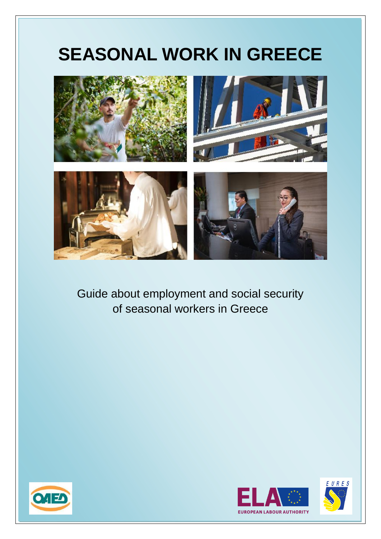# **SEASONAL WORK IN GREECE**



Guide about employment and social security of seasonal workers in Greece





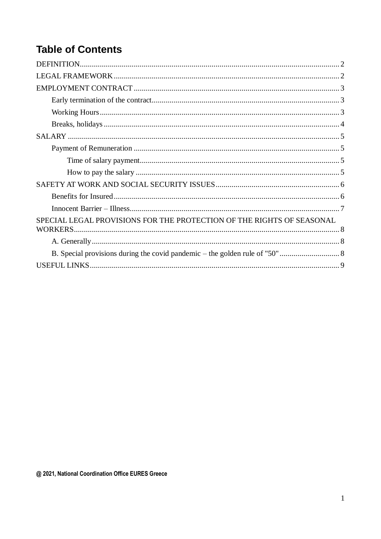## **Table of Contents**

| SPECIAL LEGAL PROVISIONS FOR THE PROTECTION OF THE RIGHTS OF SEASONAL |  |
|-----------------------------------------------------------------------|--|
|                                                                       |  |
|                                                                       |  |
|                                                                       |  |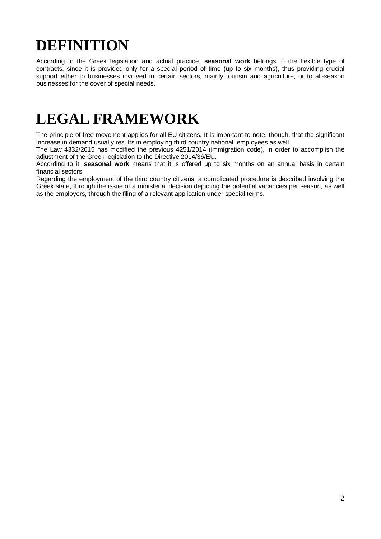## <span id="page-2-0"></span>**DEFINITION**

According to the Greek legislation and actual practice, **seasonal work** belongs to the flexible type of contracts, since it is provided only for a special period of time (up to six months), thus providing crucial support either to businesses involved in certain sectors, mainly tourism and agriculture, or to all-season businesses for the cover of special needs.

## <span id="page-2-1"></span>**LEGAL FRAMEWORK**

The principle of free movement applies for all EU citizens. It is important to note, though, that the significant increase in demand usually results in employing third country national employees as well.

The Law 4332/2015 has modified the previous 4251/2014 (immigration code), in order to accomplish the adjustment of the Greek legislation to the Directive 2014/36/EU.

According to it, **seasonal work** means that it is offered up to six months on an annual basis in certain financial sectors.

Regarding the employment of the third country citizens, a complicated procedure is described involving the Greek state, through the issue of a ministerial decision depicting the potential vacancies per season, as well as the employers, through the filing of a relevant application under special terms.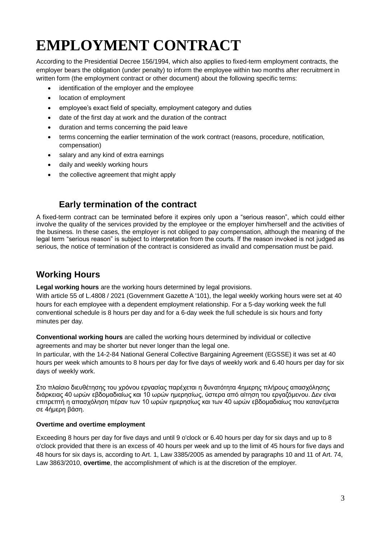## <span id="page-3-0"></span>**EMPLOYMENT CONTRACT**

According to the Presidential Decree 156/1994, which also applies to fixed-term employment contracts, the employer bears the obligation (under penalty) to inform the employee within two months after recruitment in written form (the employment contract or other document) about the following specific terms:

- identification of the employer and the employee
- location of employment
- employee's exact field of specialty, employment category and duties
- date of the first day at work and the duration of the contract
- duration and terms concerning the paid leave
- terms concerning the earlier termination of the work contract (reasons, procedure, notification, compensation)
- salary and any kind of extra earnings
- daily and weekly working hours
- the collective agreement that might apply

### **Early termination of the contract**

<span id="page-3-1"></span>A fixed-term contract can be terminated before it expires only upon a "serious reason", which could either involve the quality of the services provided by the employee or the employer him/herself and the activities of the business. In these cases, the employer is not obliged to pay compensation, although the meaning of the legal term "serious reason" is subject to interpretation from the courts. If the reason invoked is not judged as serious, the notice of termination of the contract is considered as invalid and compensation must be paid.

### <span id="page-3-2"></span>**Working Hours**

**Legal working hours** are the working hours determined by legal provisions.

With article 55 of L.4808 / 2021 (Government Gazette A '101), the legal weekly working hours were set at 40 hours for each employee with a dependent employment relationship. For a 5-day working week the full conventional schedule is 8 hours per day and for a 6-day week the full schedule is six hours and forty minutes per day.

**Conventional working hours** are called the working hours determined by individual or collective agreements and may be shorter but never longer than the legal one.

In particular, with the 14-2-84 National General Collective Bargaining Agreement (EGSSE) it was set at 40 hours per week which amounts to 8 hours per day for five days of weekly work and 6.40 hours per day for six days of weekly work.

Στο πλαίσιο διευθέτησης του χρόνου εργασίας παρέχεται η δυνατότητα 4ημερης πλήρους απασχόλησης διάρκειας 40 ωρών εβδομαδιαίως και 10 ωρών ημερησίως, ύστερα από αίτηση του εργαζόμενου. Δεν είναι επιτρεπτή η απασχόληση πέραν των 10 ωρών ημερησίως και των 40 ωρών εβδομαδιαίως που κατανέμεται σε 4ήμερη βάση.

#### **Overtime and overtime employment**

Exceeding 8 hours per day for five days and until 9 o'clock or 6.40 hours per day for six days and up to 8 o'clock provided that there is an excess of 40 hours per week and up to the limit of 45 hours for five days and 48 hours for six days is, according to Art. 1, Law 3385/2005 as amended by paragraphs 10 and 11 of Art. 74, Law 3863/2010, **overtime**, the accomplishment of which is at the discretion of the employer.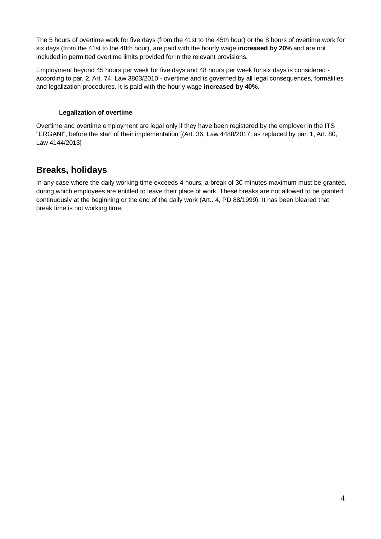The 5 hours of overtime work for five days (from the 41st to the 45th hour) or the 8 hours of overtime work for six days (from the 41st to the 48th hour), are paid with the hourly wage **increased by 20%** and are not included in permitted overtime limits provided for in the relevant provisions.

Employment beyond 45 hours per week for five days and 48 hours per week for six days is considered according to par. 2, Art. 74, Law 3863/2010 - overtime and is governed by all legal consequences, formalities and legalization procedures. It is paid with the hourly wage **increased by 40%.**

#### **Legalization of overtime**

Overtime and overtime employment are legal only if they have been registered by the employer in the ITS "ERGANI", before the start of their implementation [(Art. 36, Law 4488/2017, as replaced by par. 1, Art. 80, Law 4144/2013]

### <span id="page-4-0"></span>**Breaks, holidays**

In any case where the daily working time exceeds 4 hours, a break of 30 minutes maximum must be granted, during which employees are entitled to leave their place of work. These breaks are not allowed to be granted continuously at the beginning or the end of the daily work (Art.. 4, PD 88/1999). It has been bleared that break time is not working time.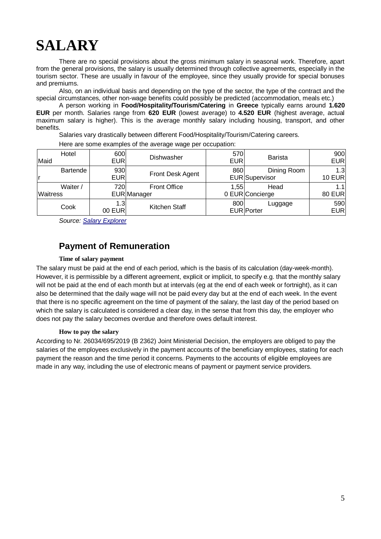## <span id="page-5-0"></span>**SALARY**

There are no special provisions about the gross minimum salary in seasonal work. Therefore, apart from the general provisions, the salary is usually determined through collective agreements, especially in the tourism sector. These are usually in favour of the employee, since they usually provide for special bonuses and premiums.

Also, on an individual basis and depending on the type of the sector, the type of the contract and the special circumstances, other non-wage benefits could possibly be predicted (accommodation, meals etc.)

A person working in **Food/Hospitality/Tourism/Catering** in **Greece** typically earns around **1.620 EUR** per month. Salaries range from **620 EUR** (lowest average) to **4.520 EUR** (highest average, actual maximum salary is higher). This is the average monthly salary including housing, transport, and other benefits.

Salaries vary drastically between different Food/Hospitality/Tourism/Catering careers.

| Hotel<br>Maid               | 600<br><b>EUR</b> | Dishwasher                         | 570<br><b>EUR</b> | <b>Barista</b>                       | 900<br><b>EUR</b>    |
|-----------------------------|-------------------|------------------------------------|-------------------|--------------------------------------|----------------------|
| Bartende                    | 930<br><b>EUR</b> | Front Desk Agent                   | 860               | Dining Room<br><b>EUR</b> Supervisor | 1.3<br>10 $EUR$      |
| Waiter /<br><b>Waitress</b> | 720               | <b>Front Office</b><br>EUR Manager | 1,55              | Head<br>0 EUR Concierge              | 1.1<br><b>80 EUR</b> |
| Cook                        | 1.3<br>00 EUR     | Kitchen Staff                      | 800               | Luggage<br><b>EUR</b> Porter         | 590<br><b>EUR</b>    |

Here are some examples of the average wage per occupation:

*Source: [Salary Explorer](http://www.salaryexplorer.com/salary-survey.php?loc=84&loctype=1&job=28&jobtype=1#disabled)*

### **Payment of Remuneration**

#### **Time of salary payment**

<span id="page-5-2"></span><span id="page-5-1"></span>The salary must be paid at the end of each period, which is the basis of its calculation (day-week-month). However, it is permissible by a different agreement, explicit or implicit, to specify e.g. that the monthly salary will not be paid at the end of each month but at intervals (eg at the end of each week or fortnight), as it can also be determined that the daily wage will not be paid every day but at the end of each week. In the event that there is no specific agreement on the time of payment of the salary, the last day of the period based on which the salary is calculated is considered a clear day, in the sense that from this day, the employer who does not pay the salary becomes overdue and therefore owes default interest.

#### **How to pay the salary**

<span id="page-5-3"></span>According to Nr. 26034/695/2019 (B 2362) Joint Ministerial Decision, the employers are obliged to pay the salaries of the employees exclusively in the payment accounts of the beneficiary employees, stating for each payment the reason and the time period it concerns. Payments to the accounts of eligible employees are made in any way, including the use of electronic means of payment or payment service providers.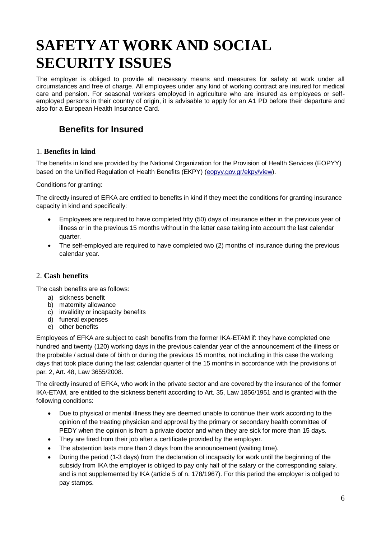## <span id="page-6-0"></span>**SAFETY AT WORK AND SOCIAL SECURITY ISSUES**

The employer is obliged to provide all necessary means and measures for safety at work under all circumstances and free of charge. All employees under any kind of working contract are insured for medical care and pension. For seasonal workers employed in agriculture who are insured as employees or selfemployed persons in their country of origin, it is advisable to apply for an A1 PD before their departure and also for a European Health Insurance Card.

### <span id="page-6-1"></span>**Benefits for Insured**

#### 1. **Benefits in kind**

The benefits in kind are provided by the National Organization for the Provision of Health Services (EOPYY) based on the Unified Regulation of Health Benefits (EKPY) [\(eopyy.gov.gr/ekpy/view\)](http://eopyy.gov.gr/ekpy/view).

Conditions for granting:

The directly insured of EFKA are entitled to benefits in kind if they meet the conditions for granting insurance capacity in kind and specifically:

- Employees are required to have completed fifty (50) days of insurance either in the previous year of illness or in the previous 15 months without in the latter case taking into account the last calendar quarter.
- The self-employed are required to have completed two (2) months of insurance during the previous calendar year.

#### 2. **Cash benefits**

The cash benefits are as follows:

- a) sickness benefit
- b) maternity allowance
- c) invalidity or incapacity benefits
- d) funeral expenses
- e) other benefits

Employees of EFKA are subject to cash benefits from the former IKA-ETAM if: they have completed one hundred and twenty (120) working days in the previous calendar year of the announcement of the illness or the probable / actual date of birth or during the previous 15 months, not including in this case the working days that took place during the last calendar quarter of the 15 months in accordance with the provisions of par. 2, Art. 48, Law 3655/2008.

The directly insured of EFKA, who work in the private sector and are covered by the insurance of the former IKA-ETAM, are entitled to the sickness benefit according to Art. 35, Law 1856/1951 and is granted with the following conditions:

- Due to physical or mental illness they are deemed unable to continue their work according to the opinion of the treating physician and approval by the primary or secondary health committee of PEDY when the opinion is from a private doctor and when they are sick for more than 15 days.
- They are fired from their job after a certificate provided by the employer.
- The abstention lasts more than 3 days from the announcement (waiting time).
- During the period (1-3 days) from the declaration of incapacity for work until the beginning of the subsidy from IKA the employer is obliged to pay only half of the salary or the corresponding salary, and is not supplemented by IKA (article 5 of n. 178/1967). For this period the employer is obliged to pay stamps.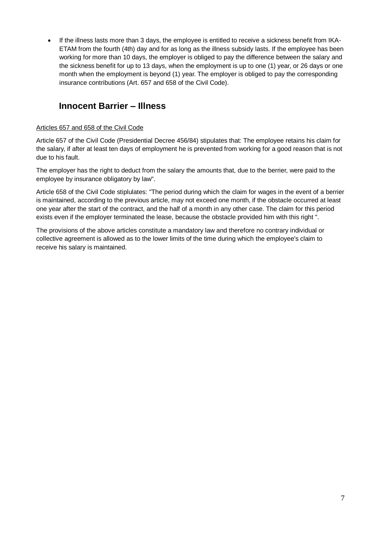If the illness lasts more than 3 days, the employee is entitled to receive a sickness benefit from IKA-ETAM from the fourth (4th) day and for as long as the illness subsidy lasts. If the employee has been working for more than 10 days, the employer is obliged to pay the difference between the salary and the sickness benefit for up to 13 days, when the employment is up to one (1) year, or 26 days or one month when the employment is beyond (1) year. The employer is obliged to pay the corresponding insurance contributions (Art. 657 and 658 of the Civil Code).

### <span id="page-7-0"></span>**Innocent Barrier – Illness**

#### Articles 657 and 658 of the Civil Code

Article 657 of the Civil Code (Presidential Decree 456/84) stipulates that: The employee retains his claim for the salary, if after at least ten days of employment he is prevented from working for a good reason that is not due to his fault.

The employer has the right to deduct from the salary the amounts that, due to the berrier, were paid to the employee by insurance obligatory by law".

Article 658 of the Civil Code stiplulates: "The period during which the claim for wages in the event of a berrier is maintained, according to the previous article, may not exceed one month, if the obstacle occurred at least one year after the start of the contract, and the half of a month in any other case. The claim for this period exists even if the employer terminated the lease, because the obstacle provided him with this right ".

The provisions of the above articles constitute a mandatory law and therefore no contrary individual or collective agreement is allowed as to the lower limits of the time during which the employee's claim to receive his salary is maintained.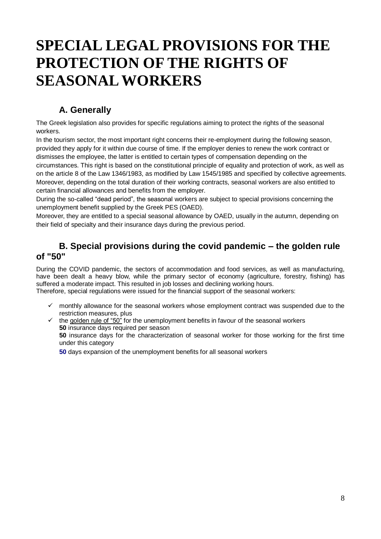## <span id="page-8-0"></span>**SPECIAL LEGAL PROVISIONS FOR THE PROTECTION OF THE RIGHTS OF SEASONAL WORKERS**

### **A. Generally**

<span id="page-8-1"></span>The Greek legislation also provides for specific regulations aiming to protect the rights of the seasonal workers.

In the tourism sector, the most important right concerns their re-employment during the following season, provided they apply for it within due course of time. If the employer denies to renew the work contract or dismisses the employee, the latter is entitled to certain types of compensation depending on the

circumstances. This right is based on the constitutional principle of equality and protection of work, as well as on the article 8 of the Law 1346/1983, as modified by Law 1545/1985 and specified by collective agreements. Moreover, depending on the total duration of their working contracts, seasonal workers are also entitled to certain financial allowances and benefits from the employer.

During the so-called "dead period", the seasonal workers are subject to special provisions concerning the unemployment benefit supplied by the Greek PES (OAED).

Moreover, they are entitled to a special seasonal allowance by OAED, usually in the autumn, depending on their field of specialty and their insurance days during the previous period.

### <span id="page-8-2"></span>**B. Special provisions during the covid pandemic – the golden rule of "50"**

During the COVID pandemic, the sectors of accommodation and food services, as well as manufacturing, have been dealt a heavy blow, while the primary sector of economy (agriculture, forestry, fishing) has suffered a moderate impact. This resulted in job losses and declining working hours. Therefore, special regulations were issued for the financial support of the seasonal workers:

- - $\checkmark$  monthly allowance for the seasonal workers whose employment contract was suspended due to the restriction measures, plus

 $\checkmark$  the golden rule of "50" for the unemployment benefits in favour of the seasonal workers **50** insurance days required per season **50** insurance days for the characterization of seasonal worker for those working for the first time under this category

**50** days expansion of the unemployment benefits for all seasonal workers